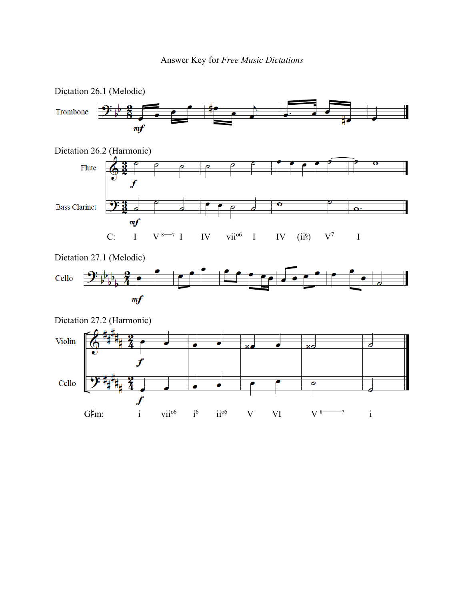

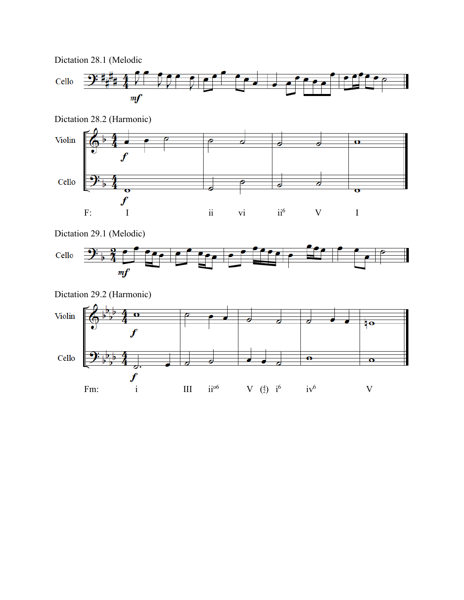



Dictation 29.1 (Melodic)





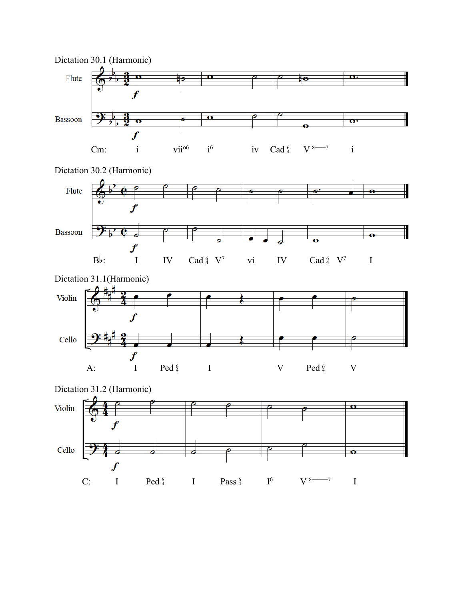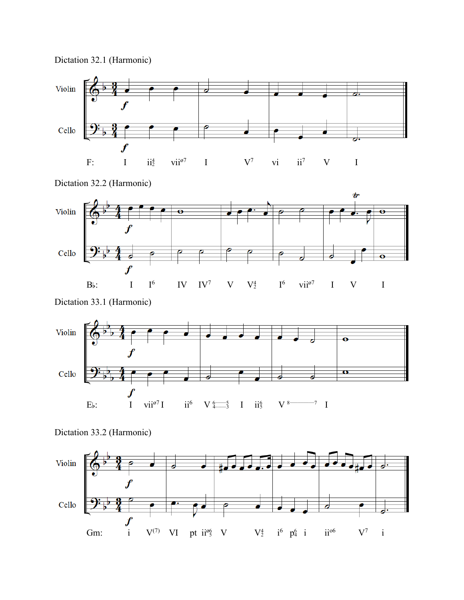



Dictation 32.2 (Harmonic)



Dictation 33.1 (Harmonic)





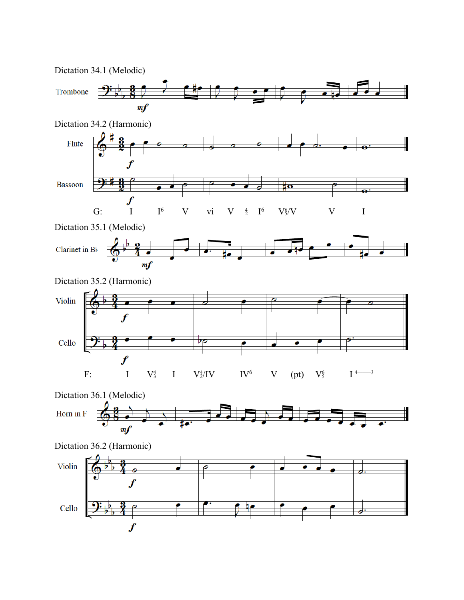